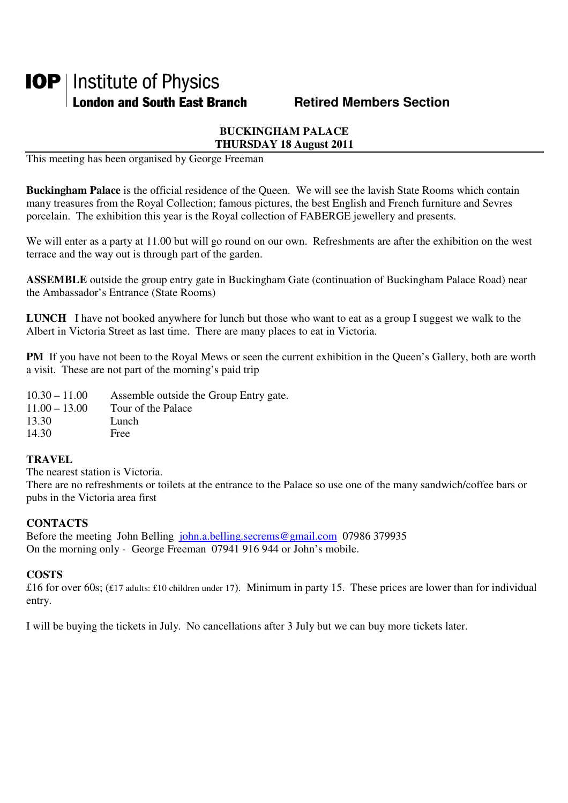# **IOP** | Institute of Physics **London and South East Branch Fig. 2.1 Retired Members Section**

# **BUCKINGHAM PALACE THURSDAY 18 August 2011**

This meeting has been organised by George Freeman

**Buckingham Palace** is the official residence of the Queen. We will see the lavish State Rooms which contain many treasures from the Royal Collection; famous pictures, the best English and French furniture and Sevres porcelain. The exhibition this year is the Royal collection of FABERGE jewellery and presents.

We will enter as a party at 11.00 but will go round on our own. Refreshments are after the exhibition on the west terrace and the way out is through part of the garden.

**ASSEMBLE** outside the group entry gate in Buckingham Gate (continuation of Buckingham Palace Road) near the Ambassador's Entrance (State Rooms)

**LUNCH** I have not booked anywhere for lunch but those who want to eat as a group I suggest we walk to the Albert in Victoria Street as last time. There are many places to eat in Victoria.

**PM** If you have not been to the Royal Mews or seen the current exhibition in the Queen's Gallery, both are worth a visit. These are not part of the morning's paid trip

| $10.30 - 11.00$ | Assemble outside the Group Entry gate. |
|-----------------|----------------------------------------|
| $11.00 - 13.00$ | Tour of the Palace                     |
| 13.30           | Lunch                                  |
| 14.30           | Free                                   |

### **TRAVEL**

The nearest station is Victoria.

There are no refreshments or toilets at the entrance to the Palace so use one of the many sandwich/coffee bars or pubs in the Victoria area first

## **CONTACTS**

Before the meeting John Belling john.a.belling.secrems@gmail.com 07986 379935 On the morning only - George Freeman 07941 916 944 or John's mobile.

# **COSTS**

£16 for over 60s; (£17 adults: £10 children under 17). Minimum in party 15. These prices are lower than for individual entry.

I will be buying the tickets in July. No cancellations after 3 July but we can buy more tickets later.